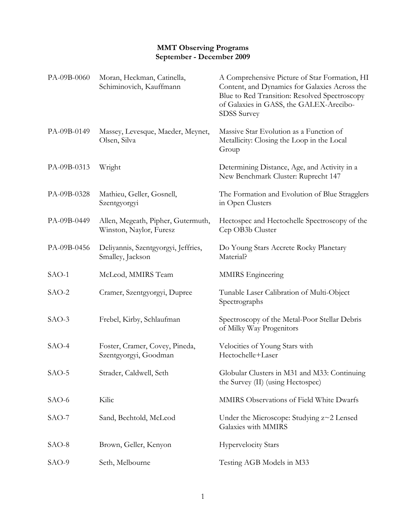## **MMT Observing Programs September - December 2009**

| PA-09B-0060 | Moran, Heckman, Catinella,<br>Schiminovich, Kauffmann         | A Comprehensive Picture of Star Formation, HI<br>Content, and Dynamics for Galaxies Across the<br>Blue to Red Transition: Resolved Spectroscopy<br>of Galaxies in GASS, the GALEX-Arecibo-<br><b>SDSS</b> Survey |
|-------------|---------------------------------------------------------------|------------------------------------------------------------------------------------------------------------------------------------------------------------------------------------------------------------------|
| PA-09B-0149 | Massey, Levesque, Maeder, Meynet,<br>Olsen, Silva             | Massive Star Evolution as a Function of<br>Metallicity: Closing the Loop in the Local<br>Group                                                                                                                   |
| PA-09B-0313 | Wright                                                        | Determining Distance, Age, and Activity in a<br>New Benchmark Cluster: Ruprecht 147                                                                                                                              |
| PA-09B-0328 | Mathieu, Geller, Gosnell,<br>Szentgyorgyi                     | The Formation and Evolution of Blue Stragglers<br>in Open Clusters                                                                                                                                               |
| PA-09B-0449 | Allen, Megeath, Pipher, Gutermuth,<br>Winston, Naylor, Furesz | Hectospec and Hectochelle Spectroscopy of the<br>Cep OB3b Cluster                                                                                                                                                |
| PA-09B-0456 | Deliyannis, Szentgyorgyi, Jeffries,<br>Smalley, Jackson       | Do Young Stars Accrete Rocky Planetary<br>Material?                                                                                                                                                              |
| SAO-1       | McLeod, MMIRS Team                                            | <b>MMIRS</b> Engineering                                                                                                                                                                                         |
| $SAO-2$     | Cramer, Szentgyorgyi, Dupree                                  | Tunable Laser Calibration of Multi-Object<br>Spectrographs                                                                                                                                                       |
| SAO-3       | Frebel, Kirby, Schlaufman                                     | Spectroscopy of the Metal-Poor Stellar Debris<br>of Milky Way Progenitors                                                                                                                                        |
| $SAO-4$     | Foster, Cramer, Covey, Pineda,<br>Szentgyorgyi, Goodman       | Velocities of Young Stars with<br>Hectochelle+Laser                                                                                                                                                              |
| SAO-5       | Strader, Caldwell, Seth                                       | Globular Clusters in M31 and M33: Continuing<br>the Survey (II) (using Hectospec)                                                                                                                                |
| SAO-6       | Kilic                                                         | MMIRS Observations of Field White Dwarfs                                                                                                                                                                         |
| $SAO-7$     | Sand, Bechtold, McLeod                                        | Under the Microscope: Studying z~2 Lensed<br>Galaxies with MMIRS                                                                                                                                                 |
| SAO-8       | Brown, Geller, Kenyon                                         | <b>Hypervelocity Stars</b>                                                                                                                                                                                       |
| SAO-9       | Seth, Melbourne                                               | Testing AGB Models in M33                                                                                                                                                                                        |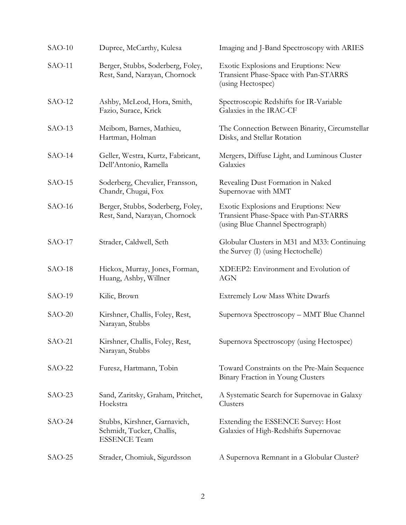| $SAO-10$ | Dupree, McCarthy, Kulesa                                                         | Imaging and J-Band Spectroscopy with ARIES                                                                         |
|----------|----------------------------------------------------------------------------------|--------------------------------------------------------------------------------------------------------------------|
| $SAO-11$ | Berger, Stubbs, Soderberg, Foley,<br>Rest, Sand, Narayan, Chornock               | Exotic Explosions and Eruptions: New<br>Transient Phase-Space with Pan-STARRS<br>(using Hectospec)                 |
| $SAO-12$ | Ashby, McLeod, Hora, Smith,<br>Fazio, Surace, Krick                              | Spectroscopic Redshifts for IR-Variable<br>Galaxies in the IRAC-CF                                                 |
| $SAO-13$ | Meibom, Barnes, Mathieu,<br>Hartman, Holman                                      | The Connection Between Binarity, Circumstellar<br>Disks, and Stellar Rotation                                      |
| $SAO-14$ | Geller, Westra, Kurtz, Fabricant,<br>Dell'Antonio, Ramella                       | Mergers, Diffuse Light, and Luminous Cluster<br>Galaxies                                                           |
| $SAO-15$ | Soderberg, Chevalier, Fransson,<br>Chandr, Chugai, Fox                           | Revealing Dust Formation in Naked<br>Supernovae with MMT                                                           |
| $SAO-16$ | Berger, Stubbs, Soderberg, Foley,<br>Rest, Sand, Narayan, Chornock               | Exotic Explosions and Eruptions: New<br>Transient Phase-Space with Pan-STARRS<br>(using Blue Channel Spectrograph) |
| $SAO-17$ | Strader, Caldwell, Seth                                                          | Globular Clusters in M31 and M33: Continuing<br>the Survey (I) (using Hectochelle)                                 |
| $SAO-18$ | Hickox, Murray, Jones, Forman,<br>Huang, Ashby, Willner                          | XDEEP2: Environment and Evolution of<br><b>AGN</b>                                                                 |
| $SAO-19$ | Kilic, Brown                                                                     | <b>Extremely Low Mass White Dwarfs</b>                                                                             |
| $SAO-20$ | Kirshner, Challis, Foley, Rest,<br>Narayan, Stubbs                               | Supernova Spectroscopy - MMT Blue Channel                                                                          |
| $SAO-21$ | Kirshner, Challis, Foley, Rest,<br>Narayan, Stubbs                               | Supernova Spectroscopy (using Hectospec)                                                                           |
| $SAO-22$ | Furesz, Hartmann, Tobin                                                          | Toward Constraints on the Pre-Main Sequence<br>Binary Fraction in Young Clusters                                   |
| $SAO-23$ | Sand, Zaritsky, Graham, Pritchet,<br>Hoekstra                                    | A Systematic Search for Supernovae in Galaxy<br>Clusters                                                           |
| $SAO-24$ | Stubbs, Kirshner, Garnavich,<br>Schmidt, Tucker, Challis,<br><b>ESSENCE Team</b> | Extending the ESSENCE Survey: Host<br>Galaxies of High-Redshifts Supernovae                                        |
| $SAO-25$ | Strader, Chomiuk, Sigurdsson                                                     | A Supernova Remnant in a Globular Cluster?                                                                         |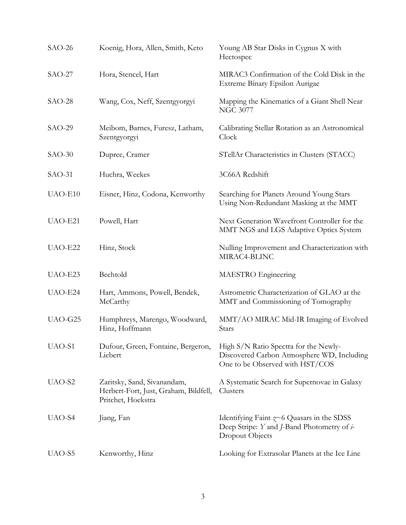| $SAO-26$ | Koenig, Hora, Allen, Smith, Keto                                                           | Young AB Star Disks in Cygnus X with<br>Hectospec                                                                      |
|----------|--------------------------------------------------------------------------------------------|------------------------------------------------------------------------------------------------------------------------|
| $SAO-27$ | Hora, Stencel, Hart                                                                        | MIRAC3 Confirmation of the Cold Disk in the<br>Extreme Binary Epsilon Aurigae                                          |
| $SAO-28$ | Wang, Cox, Neff, Szentgyorgyi                                                              | Mapping the Kinematics of a Giant Shell Near<br><b>NGC 3077</b>                                                        |
| $SAO-29$ | Meibom, Barnes, Furesz, Latham,<br>Szentgyorgyi                                            | Calibrating Stellar Rotation as an Astronomical<br>Clock                                                               |
| $SAO-30$ | Dupree, Cramer                                                                             | STellAr Characteristics in Clusters (STACC)                                                                            |
| $SAO-31$ | Huchra, Weekes                                                                             | 3C66A Redshift                                                                                                         |
| UAO-E10  | Eisner, Hinz, Codona, Kenworthy                                                            | Searching for Planets Around Young Stars<br>Using Non-Redundant Masking at the MMT                                     |
| UAO-E21  | Powell, Hart                                                                               | Next Generation Wavefront Controller for the<br>MMT NGS and LGS Adaptive Optics System                                 |
| UAO-E22  | Hinz, Stock                                                                                | Nulling Improvement and Characterization with<br>MIRAC4-BLINC                                                          |
| UAO-E23  | Bechtold                                                                                   | MAESTRO Engineering                                                                                                    |
| UAO-E24  | Hart, Ammons, Powell, Bendek,<br>McCarthy                                                  | Astrometric Characterization of GLAO at the<br>MMT and Commissioning of Tomography                                     |
| UAO-G25  | Humphreys, Marengo, Woodward,<br>Hinz, Hoffmann                                            | MMT/AO MIRAC Mid-IR Imaging of Evolved<br>Stars                                                                        |
| UAO-S1   | Dufour, Green, Fontaine, Bergeron,<br>Liebert                                              | High S/N Ratio Spectra for the Newly-<br>Discovered Carbon Atmosphere WD, Including<br>One to be Observed with HST/COS |
| UAO-S2   | Zaritsky, Sand, Sivanandam,<br>Herbert-Fort, Just, Graham, Bildfell,<br>Pritchet, Hoekstra | A Systematic Search for Supernovae in Galaxy<br>Clusters                                                               |
| UAO-S4   | Jiang, Fan                                                                                 | Identifying Faint $\approx 6$ Quasars in the SDSS<br>Deep Stripe: Y and J-Band Photometry of i-<br>Dropout Objects     |
| UAO-S5   | Kenworthy, Hinz                                                                            | Looking for Extrasolar Planets at the Ice Line                                                                         |